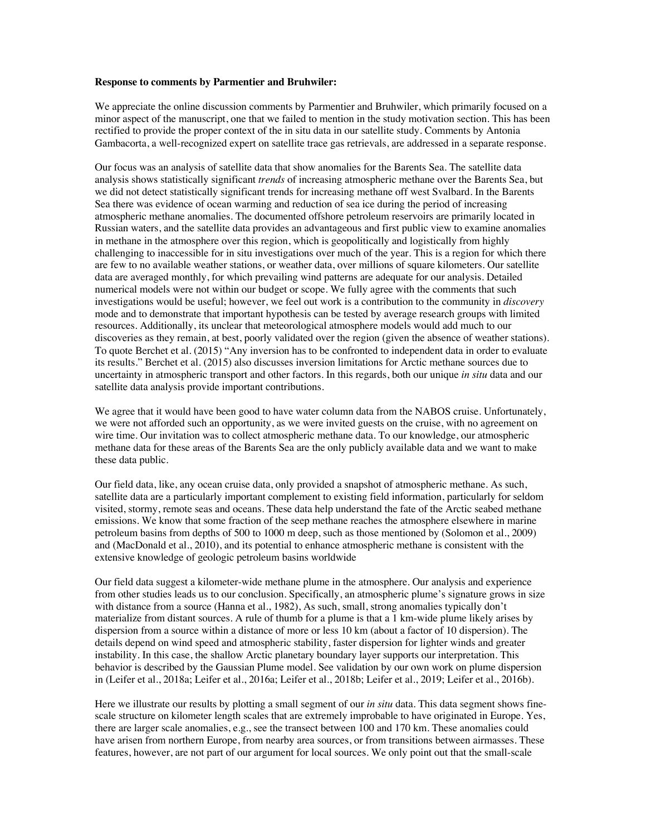## **Response to comments by Parmentier and Bruhwiler:**

We appreciate the online discussion comments by Parmentier and Bruhwiler, which primarily focused on a minor aspect of the manuscript, one that we failed to mention in the study motivation section. This has been rectified to provide the proper context of the in situ data in our satellite study. Comments by Antonia Gambacorta, a well-recognized expert on satellite trace gas retrievals, are addressed in a separate response.

Our focus was an analysis of satellite data that show anomalies for the Barents Sea. The satellite data analysis shows statistically significant *trends* of increasing atmospheric methane over the Barents Sea, but we did not detect statistically significant trends for increasing methane off west Svalbard. In the Barents Sea there was evidence of ocean warming and reduction of sea ice during the period of increasing atmospheric methane anomalies. The documented offshore petroleum reservoirs are primarily located in Russian waters, and the satellite data provides an advantageous and first public view to examine anomalies in methane in the atmosphere over this region, which is geopolitically and logistically from highly challenging to inaccessible for in situ investigations over much of the year. This is a region for which there are few to no available weather stations, or weather data, over millions of square kilometers. Our satellite data are averaged monthly, for which prevailing wind patterns are adequate for our analysis. Detailed numerical models were not within our budget or scope. We fully agree with the comments that such investigations would be useful; however, we feel out work is a contribution to the community in *discovery*  mode and to demonstrate that important hypothesis can be tested by average research groups with limited resources. Additionally, its unclear that meteorological atmosphere models would add much to our discoveries as they remain, at best, poorly validated over the region (given the absence of weather stations). To quote Berchet et al. (2015) "Any inversion has to be confronted to independent data in order to evaluate its results." Berchet et al. (2015) also discusses inversion limitations for Arctic methane sources due to uncertainty in atmospheric transport and other factors. In this regards, both our unique *in situ* data and our satellite data analysis provide important contributions.

We agree that it would have been good to have water column data from the NABOS cruise. Unfortunately, we were not afforded such an opportunity, as we were invited guests on the cruise, with no agreement on wire time. Our invitation was to collect atmospheric methane data. To our knowledge, our atmospheric methane data for these areas of the Barents Sea are the only publicly available data and we want to make these data public.

Our field data, like, any ocean cruise data, only provided a snapshot of atmospheric methane. As such, satellite data are a particularly important complement to existing field information, particularly for seldom visited, stormy, remote seas and oceans. These data help understand the fate of the Arctic seabed methane emissions. We know that some fraction of the seep methane reaches the atmosphere elsewhere in marine petroleum basins from depths of 500 to 1000 m deep, such as those mentioned by (Solomon et al., 2009) and (MacDonald et al., 2010), and its potential to enhance atmospheric methane is consistent with the extensive knowledge of geologic petroleum basins worldwide

Our field data suggest a kilometer-wide methane plume in the atmosphere. Our analysis and experience from other studies leads us to our conclusion. Specifically, an atmospheric plume's signature grows in size with distance from a source (Hanna et al., 1982), As such, small, strong anomalies typically don't materialize from distant sources. A rule of thumb for a plume is that a 1 km-wide plume likely arises by dispersion from a source within a distance of more or less 10 km (about a factor of 10 dispersion). The details depend on wind speed and atmospheric stability, faster dispersion for lighter winds and greater instability. In this case, the shallow Arctic planetary boundary layer supports our interpretation. This behavior is described by the Gaussian Plume model. See validation by our own work on plume dispersion in (Leifer et al., 2018a; Leifer et al., 2016a; Leifer et al., 2018b; Leifer et al., 2019; Leifer et al., 2016b).

Here we illustrate our results by plotting a small segment of our *in situ* data. This data segment shows finescale structure on kilometer length scales that are extremely improbable to have originated in Europe. Yes, there are larger scale anomalies, e.g., see the transect between 100 and 170 km. These anomalies could have arisen from northern Europe, from nearby area sources, or from transitions between airmasses. These features, however, are not part of our argument for local sources. We only point out that the small-scale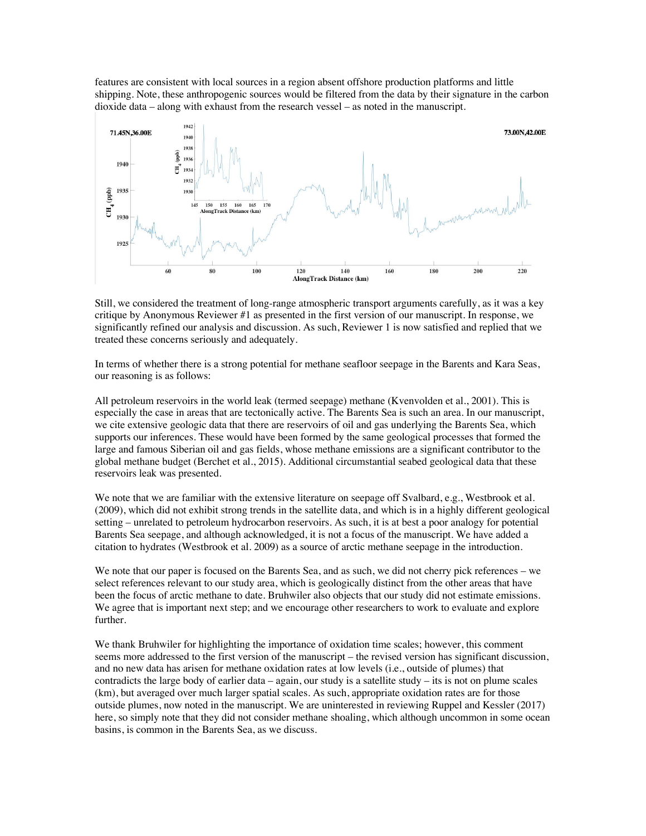features are consistent with local sources in a region absent offshore production platforms and little shipping. Note, these anthropogenic sources would be filtered from the data by their signature in the carbon dioxide data – along with exhaust from the research vessel – as noted in the manuscript.



Still, we considered the treatment of long-range atmospheric transport arguments carefully, as it was a key critique by Anonymous Reviewer #1 as presented in the first version of our manuscript. In response, we significantly refined our analysis and discussion. As such, Reviewer 1 is now satisfied and replied that we treated these concerns seriously and adequately.

In terms of whether there is a strong potential for methane seafloor seepage in the Barents and Kara Seas, our reasoning is as follows:

All petroleum reservoirs in the world leak (termed seepage) methane (Kvenvolden et al., 2001). This is especially the case in areas that are tectonically active. The Barents Sea is such an area. In our manuscript, we cite extensive geologic data that there are reservoirs of oil and gas underlying the Barents Sea, which supports our inferences. These would have been formed by the same geological processes that formed the large and famous Siberian oil and gas fields, whose methane emissions are a significant contributor to the global methane budget (Berchet et al., 2015). Additional circumstantial seabed geological data that these reservoirs leak was presented.

We note that we are familiar with the extensive literature on seepage off Svalbard, e.g., Westbrook et al. (2009), which did not exhibit strong trends in the satellite data, and which is in a highly different geological setting – unrelated to petroleum hydrocarbon reservoirs. As such, it is at best a poor analogy for potential Barents Sea seepage, and although acknowledged, it is not a focus of the manuscript. We have added a citation to hydrates (Westbrook et al. 2009) as a source of arctic methane seepage in the introduction.

We note that our paper is focused on the Barents Sea, and as such, we did not cherry pick references – we select references relevant to our study area, which is geologically distinct from the other areas that have been the focus of arctic methane to date. Bruhwiler also objects that our study did not estimate emissions. We agree that is important next step; and we encourage other researchers to work to evaluate and explore further.

We thank Bruhwiler for highlighting the importance of oxidation time scales; however, this comment seems more addressed to the first version of the manuscript – the revised version has significant discussion, and no new data has arisen for methane oxidation rates at low levels (i.e., outside of plumes) that contradicts the large body of earlier data – again, our study is a satellite study – its is not on plume scales (km), but averaged over much larger spatial scales. As such, appropriate oxidation rates are for those outside plumes, now noted in the manuscript. We are uninterested in reviewing Ruppel and Kessler (2017) here, so simply note that they did not consider methane shoaling, which although uncommon in some ocean basins, is common in the Barents Sea, as we discuss.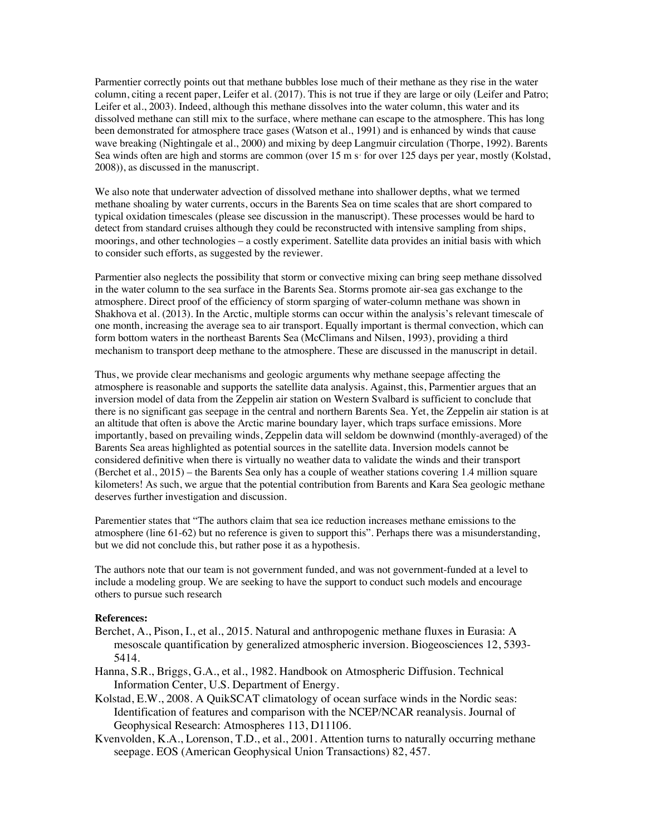Parmentier correctly points out that methane bubbles lose much of their methane as they rise in the water column, citing a recent paper, Leifer et al. (2017). This is not true if they are large or oily (Leifer and Patro; Leifer et al., 2003). Indeed, although this methane dissolves into the water column, this water and its dissolved methane can still mix to the surface, where methane can escape to the atmosphere. This has long been demonstrated for atmosphere trace gases (Watson et al., 1991) and is enhanced by winds that cause wave breaking (Nightingale et al., 2000) and mixing by deep Langmuir circulation (Thorpe, 1992). Barents Sea winds often are high and storms are common (over  $15 \text{ m s}$  for over 125 days per year, mostly (Kolstad, 2008)), as discussed in the manuscript.

We also note that underwater advection of dissolved methane into shallower depths, what we termed methane shoaling by water currents, occurs in the Barents Sea on time scales that are short compared to typical oxidation timescales (please see discussion in the manuscript). These processes would be hard to detect from standard cruises although they could be reconstructed with intensive sampling from ships, moorings, and other technologies – a costly experiment. Satellite data provides an initial basis with which to consider such efforts, as suggested by the reviewer.

Parmentier also neglects the possibility that storm or convective mixing can bring seep methane dissolved in the water column to the sea surface in the Barents Sea. Storms promote air-sea gas exchange to the atmosphere. Direct proof of the efficiency of storm sparging of water-column methane was shown in Shakhova et al. (2013). In the Arctic, multiple storms can occur within the analysis's relevant timescale of one month, increasing the average sea to air transport. Equally important is thermal convection, which can form bottom waters in the northeast Barents Sea (McClimans and Nilsen, 1993), providing a third mechanism to transport deep methane to the atmosphere. These are discussed in the manuscript in detail.

Thus, we provide clear mechanisms and geologic arguments why methane seepage affecting the atmosphere is reasonable and supports the satellite data analysis. Against, this, Parmentier argues that an inversion model of data from the Zeppelin air station on Western Svalbard is sufficient to conclude that there is no significant gas seepage in the central and northern Barents Sea. Yet, the Zeppelin air station is at an altitude that often is above the Arctic marine boundary layer, which traps surface emissions. More importantly, based on prevailing winds, Zeppelin data will seldom be downwind (monthly-averaged) of the Barents Sea areas highlighted as potential sources in the satellite data. Inversion models cannot be considered definitive when there is virtually no weather data to validate the winds and their transport (Berchet et al., 2015) – the Barents Sea only has a couple of weather stations covering 1.4 million square kilometers! As such, we argue that the potential contribution from Barents and Kara Sea geologic methane deserves further investigation and discussion.

Parementier states that "The authors claim that sea ice reduction increases methane emissions to the atmosphere (line 61-62) but no reference is given to support this". Perhaps there was a misunderstanding, but we did not conclude this, but rather pose it as a hypothesis.

The authors note that our team is not government funded, and was not government-funded at a level to include a modeling group. We are seeking to have the support to conduct such models and encourage others to pursue such research

## **References:**

- Berchet, A., Pison, I., et al., 2015. Natural and anthropogenic methane fluxes in Eurasia: A mesoscale quantification by generalized atmospheric inversion. Biogeosciences 12, 5393- 5414.
- Hanna, S.R., Briggs, G.A., et al., 1982. Handbook on Atmospheric Diffusion. Technical Information Center, U.S. Department of Energy.
- Kolstad, E.W., 2008. A QuikSCAT climatology of ocean surface winds in the Nordic seas: Identification of features and comparison with the NCEP/NCAR reanalysis. Journal of Geophysical Research: Atmospheres 113, D11106.
- Kvenvolden, K.A., Lorenson, T.D., et al., 2001. Attention turns to naturally occurring methane seepage. EOS (American Geophysical Union Transactions) 82, 457.